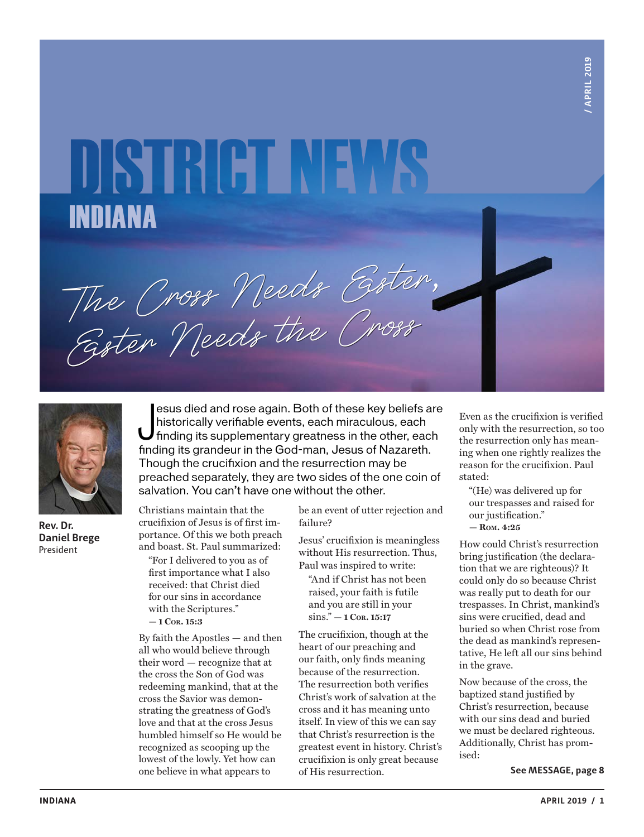# DISTRETNEWS INDIANA

The Cross Needs Ester,

Easter Needs the Cross

**Rev. Dr. Daniel Brege** President

esus died and rose again. Both of these key beliefs a<br>historically verifiable events, each miraculous, each<br>finding its supplementary greatness in the other, each<br>finding its grandeur in the God-man, Jesus of Nazareth. esus died and rose again. Both of these key beliefs are historically verifiable events, each miraculous, each finding its supplementary greatness in the other, each Though the crucifixion and the resurrection may be preached separately, they are two sides of the one coin of salvation. You can't have one without the other.

Christians maintain that the crucifixion of Jesus is of first importance. Of this we both preach and boast. St. Paul summarized:

"For I delivered to you as of first importance what I also received: that Christ died for our sins in accordance with the Scriptures." **— 1 Cor. 15:3**

By faith the Apostles — and then all who would believe through their word — recognize that at the cross the Son of God was redeeming mankind, that at the cross the Savior was demonstrating the greatness of God's love and that at the cross Jesus humbled himself so He would be recognized as scooping up the lowest of the lowly. Yet how can one believe in what appears to

be an event of utter rejection and failure?

Jesus' crucifixion is meaningless without His resurrection. Thus, Paul was inspired to write:

"And if Christ has not been raised, your faith is futile and you are still in your sins." **— 1 Cor. 15:17**

The crucifixion, though at the heart of our preaching and our faith, only finds meaning because of the resurrection. The resurrection both verifies Christ's work of salvation at the cross and it has meaning unto itself. In view of this we can say that Christ's resurrection is the greatest event in history. Christ's crucifixion is only great because of His resurrection.

Even as the crucifixion is verified only with the resurrection, so too the resurrection only has meaning when one rightly realizes the reason for the crucifixion. Paul stated:

"(He) was delivered up for our trespasses and raised for our justification." **— Rom. 4:25**

How could Christ's resurrection bring justification (the declaration that we are righteous)? It could only do so because Christ was really put to death for our trespasses. In Christ, mankind's sins were crucified, dead and buried so when Christ rose from the dead as mankind's representative, He left all our sins behind in the grave.

Now because of the cross, the baptized stand justified by Christ's resurrection, because with our sins dead and buried we must be declared righteous. Additionally, Christ has promised: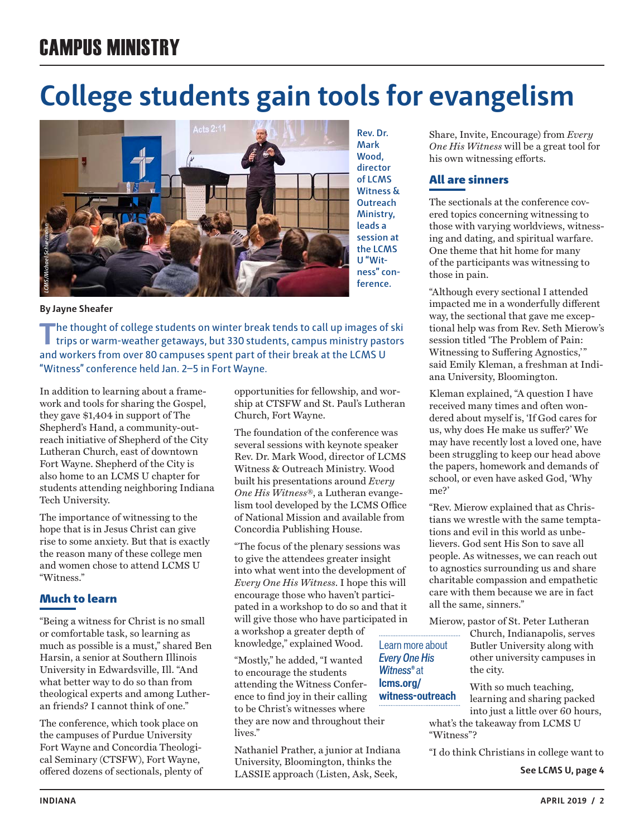# CAMPUS MINISTRY

# **College students gain tools for evangelism**



**Mark Wood, director of LCMS Witness & Outreach Ministry, leads a session at the LCMS U "Witness" conference.**

#### **By Jayne Sheafer**

**T**he thought of college students on winter break tends to call up images of ski trips or warm-weather getaways, but 330 students, campus ministry pastors and workers from over 80 campuses spent part of their break at the LCMS U "Witness" conference held Jan. 2–5 in Fort Wayne.

In addition to learning about a framework and tools for sharing the Gospel, they gave \$1,404 in support of The Shepherd's Hand, a community-outreach initiative of Shepherd of the City Lutheran Church, east of downtown Fort Wayne. Shepherd of the City is also home to an LCMS U chapter for students attending neighboring Indiana Tech University.

The importance of witnessing to the hope that is in Jesus Christ can give rise to some anxiety. But that is exactly the reason many of these college men and women chose to attend LCMS U "Witness."

### Much to learn

"Being a witness for Christ is no small or comfortable task, so learning as much as possible is a must," shared Ben Harsin, a senior at Southern Illinois University in Edwardsville, Ill. "And what better way to do so than from theological experts and among Lutheran friends? I cannot think of one."

The conference, which took place on the campuses of Purdue University Fort Wayne and Concordia Theological Seminary (CTSFW), Fort Wayne, offered dozens of sectionals, plenty of opportunities for fellowship, and worship at CTSFW and St. Paul's Lutheran Church, Fort Wayne.

The foundation of the conference was several sessions with keynote speaker Rev. Dr. Mark Wood, director of LCMS Witness & Outreach Ministry. Wood built his presentations around *Every One His Witness*®, a Lutheran evangelism tool developed by the LCMS Office of National Mission and available from Concordia Publishing House.

"The focus of the plenary sessions was to give the attendees greater insight into what went into the development of *Every One His Witness*. I hope this will encourage those who haven't participated in a workshop to do so and that it will give those who have participated in a workshop a greater depth of knowledge," explained Wood. Learn more about

*Witness®* at

"Mostly," he added, "I wanted to encourage the students attending the Witness Conference to find joy in their calling to be Christ's witnesses where they are now and throughout their lives." *Every One His*  **lcms.org/**

Nathaniel Prather, a junior at Indiana University, Bloomington, thinks the LASSIE approach (Listen, Ask, Seek,

Share, Invite, Encourage) from *Every One His Witness* will be a great tool for his own witnessing efforts.

### All are sinners

The sectionals at the conference covered topics concerning witnessing to those with varying worldviews, witnessing and dating, and spiritual warfare. One theme that hit home for many of the participants was witnessing to those in pain.

"Although every sectional I attended impacted me in a wonderfully different way, the sectional that gave me exceptional help was from Rev. Seth Mierow's session titled 'The Problem of Pain: Witnessing to Suffering Agnostics,'" said Emily Kleman, a freshman at Indiana University, Bloomington.

Kleman explained, "A question I have received many times and often wondered about myself is, 'If God cares for us, why does He make us suffer?' We may have recently lost a loved one, have been struggling to keep our head above the papers, homework and demands of school, or even have asked God, 'Why me?'

"Rev. Mierow explained that as Christians we wrestle with the same temptations and evil in this world as unbelievers. God sent His Son to save all people. As witnesses, we can reach out to agnostics surrounding us and share charitable compassion and empathetic care with them because we are in fact all the same, sinners."

Mierow, pastor of St. Peter Lutheran

Church, Indianapolis, serves Butler University along with other university campuses in the city.

With so much teaching, learning and sharing packed into just a little over 60 hours, what's the takeaway from LCMS U "Witness"? **witness-outreach**

"I do think Christians in college want to

**See LCMS U, page 4**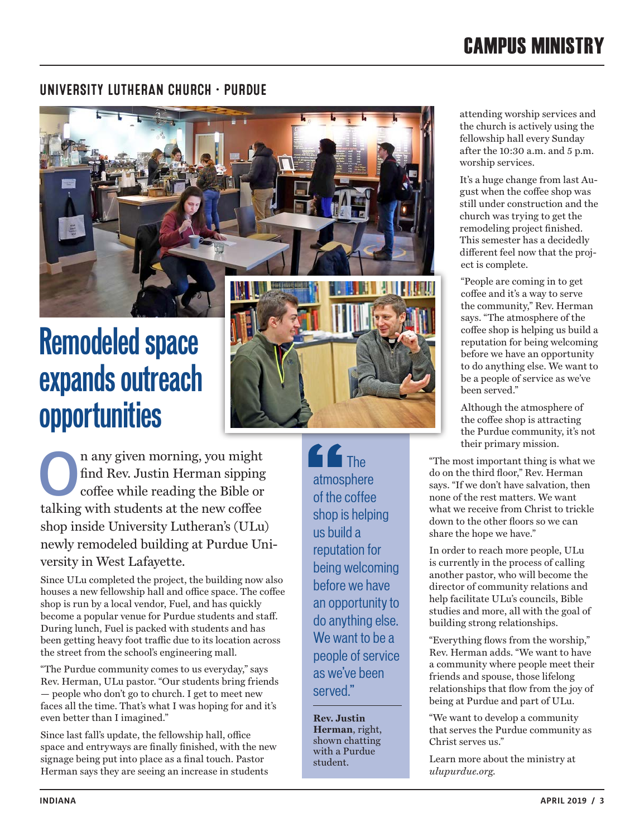# CAMPUS MINISTRY

### UNIVERSITY LUTHERAN CHURCH • PURDUE

# **Remodeled space expands outreach opportunities**



**O**n any given morning, you might find Rev. Justin Herman sipping coffee while reading the Bible or talking with students at the new coffee shop inside University Lutheran's (ULu) newly remodeled building at Purdue University in West Lafayette.

Since ULu completed the project, the building now also houses a new fellowship hall and office space. The coffee shop is run by a local vendor, Fuel, and has quickly become a popular venue for Purdue students and staff. During lunch, Fuel is packed with students and has been getting heavy foot traffic due to its location across the street from the school's engineering mall.

"The Purdue community comes to us everyday," says Rev. Herman, ULu pastor. "Our students bring friends — people who don't go to church. I get to meet new faces all the time. That's what I was hoping for and it's even better than I imagined."

Since last fall's update, the fellowship hall, office space and entryways are finally finished, with the new signage being put into place as a final touch. Pastor Herman says they are seeing an increase in students

**C** The atmosphere of the coffee shop is helping us build a reputation for being welcoming before we have an opportunity to do anything else. We want to be a people of service as we've been served."

**Rev. Justin Herman**, right, shown chatting with a Purdue student.

attending worship services and the church is actively using the fellowship hall every Sunday after the 10:30 a.m. and 5 p.m. worship services.

It's a huge change from last August when the coffee shop was still under construction and the church was trying to get the remodeling project finished. This semester has a decidedly different feel now that the project is complete.

"People are coming in to get coffee and it's a way to serve the community," Rev. Herman says. "The atmosphere of the coffee shop is helping us build a reputation for being welcoming before we have an opportunity to do anything else. We want to be a people of service as we've been served."

Although the atmosphere of the coffee shop is attracting the Purdue community, it's not their primary mission.

"The most important thing is what we do on the third floor," Rev. Herman says. "If we don't have salvation, then none of the rest matters. We want what we receive from Christ to trickle down to the other floors so we can share the hope we have."

In order to reach more people, ULu is currently in the process of calling another pastor, who will become the director of community relations and help facilitate ULu's councils, Bible studies and more, all with the goal of building strong relationships.

"Everything flows from the worship," Rev. Herman adds. "We want to have a community where people meet their friends and spouse, those lifelong relationships that flow from the joy of being at Purdue and part of ULu.

"We want to develop a community that serves the Purdue community as Christ serves us."

Learn more about the ministry at *ulupurdue.org.*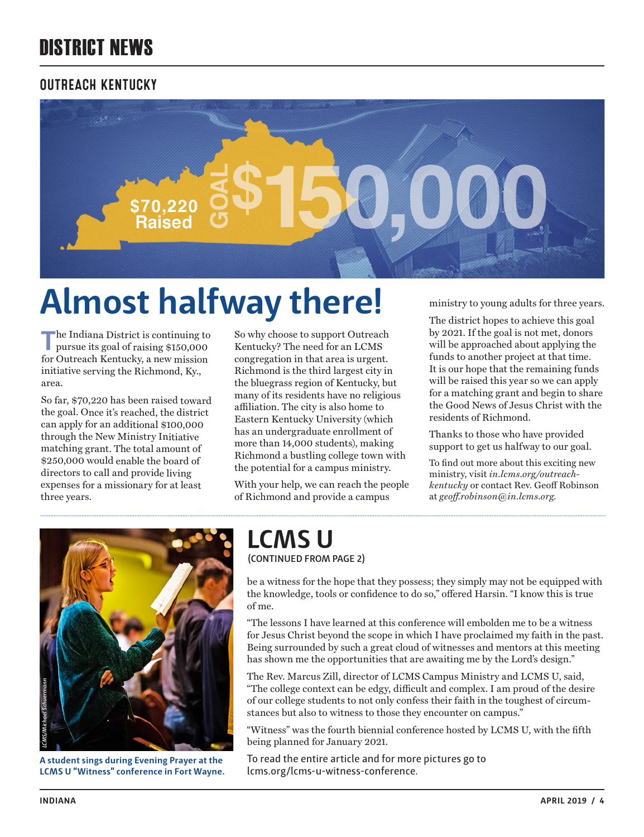# DISTRICT NEWS

### OUTREACH KENTUCKY



# **Almost halfway there!**

The Indiana District is continuing to pursue its goal of raising \$150,000 for Outreach Kentucky, a new mission initiative serving the Richmond, Ky., area.

So far, \$70,220 has been raised toward the goal. Once it's reached, the district can apply for an additional \$100,000 through the New Ministry Initiative matching grant. The total amount of \$250,000 would enable the board of directors to call and provide living expenses for a missionary for at least three years.

So why choose to support Outreach Kentucky? The need for an LCMS congregation in that area is urgent. Richmond is the third largest city in the bluegrass region of Kentucky, but many of its residents have no religious affiliation. The city is also home to Eastern Kentucky University (which has an undergraduate enrollment of more than 14,000 students), making Richmond a bustling college town with the potential for a campus ministry.

With your help, we can reach the people of Richmond and provide a campus

ministry to young adults for three years.

The district hopes to achieve this goal by 2021. If the goal is not met, donors will be approached about applying the funds to another project at that time. It is our hope that the remaining funds will be raised this year so we can apply for a matching grant and begin to share the Good News of Jesus Christ with the residents of Richmond.

Thanks to those who have provided support to get us halfway to our goal.

To find out more about this exciting new ministry, visit *in.lcms.org/outreachkentucky* or contact Rev. Geoff Robinson at *geoff.robinson@in.lcms.org.*



**A student sings during Evening Prayer at the**  LCMS U "Witness" conference in Fort Wayne.

### **(CONTINUED FROM PAGE 2) LCMS U**

be a witness for the hope that they possess; they simply may not be equipped with the knowledge, tools or confidence to do so," offered Harsin. "I know this is true of me.

"The lessons I have learned at this conference will embolden me to be a witness for Jesus Christ beyond the scope in which I have proclaimed my faith in the past. Being surrounded by such a great cloud of witnesses and mentors at this meeting has shown me the opportunities that are awaiting me by the Lord's design."

The Rev. Marcus Zill, director of LCMS Campus Ministry and LCMS U, said, "The college context can be edgy, difficult and complex. I am proud of the desire of our college students to not only confess their faith in the toughest of circumstances but also to witness to those they encounter on campus."

"Witness" was the fourth biennial conference hosted by LCMS U, with the fifth being planned for January 2021.

To read the entire article and for more pictures go to lcms.org/lcms-u-witness-conference.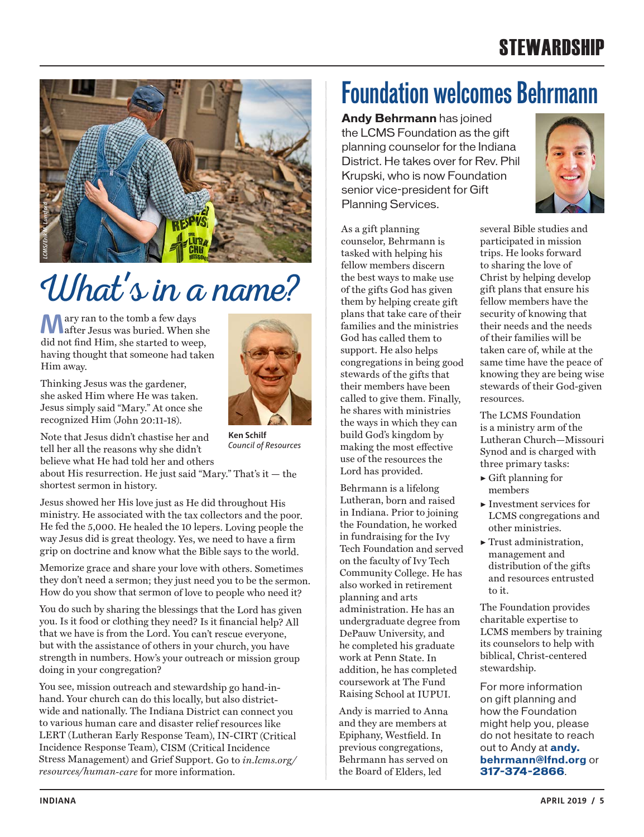# **STEWARDSHIP**



# Uhat's in a name?

**M**ary ran to the tomb a few days<br>after Jesus was buried. When she did not find Him, she started to weep, having thought that someone had taken Him away.

Thinking Jesus was the gardener, she asked Him where He was taken. Jesus simply said "Mary." At once she recognized Him (John 20:11-18).



**Ken Schilf** *Council of Resources*

about His resurrection. He just said "Mary." That's it — the shortest sermon in history.

Jesus showed her His love just as He did throughout His ministry. He associated with the tax collectors and the poor. He fed the 5,000. He healed the 10 lepers. Loving people the way Jesus did is great theology. Yes, we need to have a firm grip on doctrine and know what the Bible says to the world.

Memorize grace and share your love with others. Sometimes they don't need a sermon; they just need you to be the sermon. How do you show that sermon of love to people who need it?

You do such by sharing the blessings that the Lord has given you. Is it food or clothing they need? Is it financial help? All that we have is from the Lord. You can't rescue everyone, but with the assistance of others in your church, you have strength in numbers. How's your outreach or mission group doing in your congregation?

You see, mission outreach and stewardship go hand-inhand. Your church can do this locally, but also districtwide and nationally. The Indiana District can connect you to various human care and disaster relief resources like LERT (Lutheran Early Response Team), IN-CIRT (Critical Incidence Response Team), CISM (Critical Incidence Stress Management) and Grief Support. Go to *in.lcms.org/ resources/human-care* for more information.

# **Foundation welcomes Behrmann**

**Andy Behrmann** has joined the LCMS Foundation as the gift planning counselor for the Indiana District. He takes over for Rev. Phil Krupski, who is now Foundation senior vice-president for Gift Planning Services.



As a gift planning counselor, Behrmann is tasked with helping his fellow members discern the best ways to make use of the gifts God has given them by helping create gift plans that take care of their families and the ministries God has called them to support. He also helps congregations in being good stewards of the gifts that their members have been called to give them. Finally, he shares with ministries the ways in which they can build God's kingdom by making the most effective use of the resources the Lord has provided.

Behrmann is a lifelong Lutheran, born and raised in Indiana. Prior to joining the Foundation, he worked in fundraising for the Ivy Tech Foundation and served on the faculty of Ivy Tech Community College. He has also worked in retirement planning and arts administration. He has an undergraduate degree from DePauw University, and he completed his graduate work at Penn State. In addition, he has completed coursework at The Fund Raising School at IUPUI.

Andy is married to Anna and they are members at Epiphany, Westfield. In previous congregations, Behrmann has served on the Board of Elders, led

several Bible studies and participated in mission trips. He looks forward to sharing the love of Christ by helping develop gift plans that ensure his fellow members have the security of knowing that their needs and the needs of their families will be taken care of, while at the same time have the peace of knowing they are being wise stewards of their God-given resources.

The LCMS Foundation is a ministry arm of the Lutheran Church—Missouri Synod and is charged with three primary tasks:

- ▶ Gift planning for members
- ▶ Investment services for LCMS congregations and other ministries.
- ▶ Trust administration, management and distribution of the gifts and resources entrusted to it.

The Foundation provides charitable expertise to LCMS members by training its counselors to help with biblical, Christ-centered stewardship.

For more information on gift planning and how the Foundation might help you, please do not hesitate to reach out to Andy at **andy. behrmann@lfnd.org** or **317-374-2866**.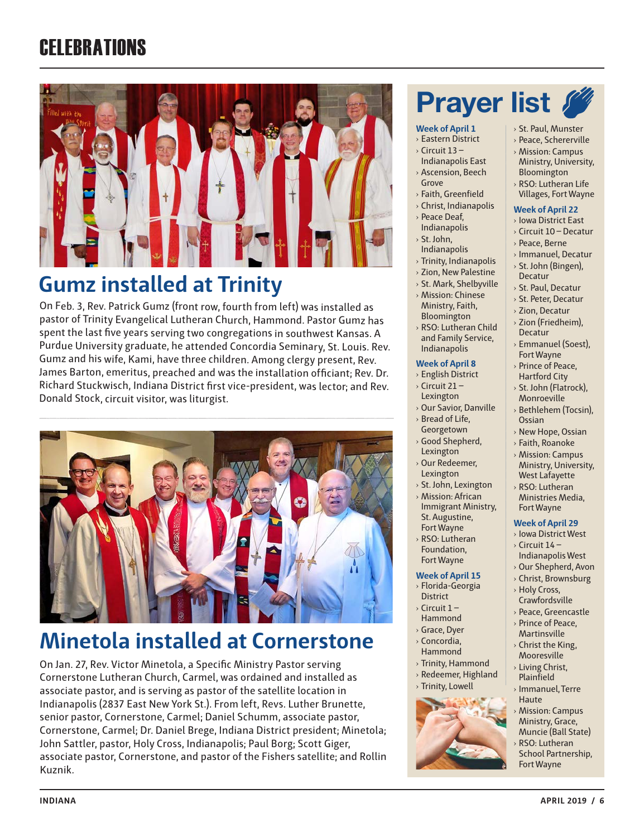# **CELEBRATIONS**



### **Gumz installed at Trinity**

On Feb. 3, Rev. Patrick Gumz (front row, fourth from left) was installed as pastor of Trinity Evangelical Lutheran Church, Hammond. Pastor Gumz has spent the last five years serving two congregations in southwest Kansas. A Purdue University graduate, he attended Concordia Seminary, St. Louis. Rev. Gumz and his wife, Kami, have three children. Among clergy present, Rev. James Barton, emeritus, preached and was the installation officiant; Rev. Dr. Richard Stuckwisch, Indiana District first vice-president, was lector; and Rev. Donald Stock, circuit visitor, was liturgist.



# **Minetola installed at Cornerstone**

On Jan. 27, Rev. Victor Minetola, a Specific Ministry Pastor serving Cornerstone Lutheran Church, Carmel, was ordained and installed as associate pastor, and is serving as pastor of the satellite location in Indianapolis (2837 East New York St.). From left, Revs. Luther Brunette, senior pastor, Cornerstone, Carmel; Daniel Schumm, associate pastor, Cornerstone, Carmel; Dr. Daniel Brege, Indiana District president; Minetola; John Sattler, pastor, Holy Cross, Indianapolis; Paul Borg; Scott Giger, associate pastor, Cornerstone, and pastor of the Fishers satellite; and Rollin Kuznik.

# **Prayer list &**

### **Week of April 1**

- › Eastern District
- $\rightarrow$  Circuit 13 Indianapolis East
- › Ascension, Beech Grove
- › Faith, Greenfield
- › Christ, Indianapolis
- › Peace Deaf,
- Indianapolis
- › St. John,
- Indianapolis
- › Trinity, Indianapolis
- › Zion, New Palestine
- › St. Mark, Shelbyville
- › Mission: Chinese
- Bloomington
- › RSO: Lutheran Child and Family Service,

- › English District  $\sqrt{C}$  Circuit 21 –
- Lexington
- 
- Georgetown
- › Good Shepherd,
- › Our Redeemer,
- › St. John, Lexington
- › Mission: African Immigrant Ministry, St. Augustine,
- 
- › RSO: Lutheran Foundation,
- 
- **District**
- 
- › Grace, Dyer
- › Concordia,
- › Trinity, Hammond
- 
- 



- 
- › St. Paul, Munster
- › Peace, Schererville
- › Mission: Campus Ministry, University, Bloomington
- › RSO: Lutheran Life Villages, Fort Wayne

### **Week of April 22**

- › Iowa District East
- › Circuit 10 Decatur
- › Peace, Berne
- › Immanuel, Decatur › St. John (Bingen),

› St. Paul, Decatur › St. Peter, Decatur › Zion, Decatur › Zion (Friedheim), Decatur › Emmanuel (Soest), Fort Wayne › Prince of Peace, Hartford City › St. John (Flatrock), Monroeville › Bethlehem (Tocsin),

Ossian

› New Hope, Ossian › Faith, Roanoke › Mission: Campus Ministry, University, West Lafayette › RSO: Lutheran Ministries Media, Fort Wayne **Week of April 29** › Iowa District West  $\sqrt{C}$  Circuit 14 – Indianapolis West › Our Shepherd, Avon › Christ, Brownsburg › Holy Cross, Crawfordsville › Peace, Greencastle › Prince of Peace, Martinsville › Christ the King, Mooresville › Living Christ, Plainfield › Immanuel, Terre **Haute** 

- Decatur
- 
- Ministry, Faith,
	-
- Indianapolis

### **Week of April 8**

- 
- › Our Savior, Danville
- › Bread of Life,
	-
- Lexington
- Lexington
- 
- 
- Fort Wayne
- Fort Wayne

### **Week of April 15**

- › Florida-Georgia
- $\rightarrow$  Circuit 1 –
- Hammond
- 
- 
- Hammond
- 
- 

› Mission: Campus Ministry, Grace, Muncie (Ball State) RSO: Lutheran School Partnership, Fort Wayne

› Redeemer, Highland › Trinity, Lowell





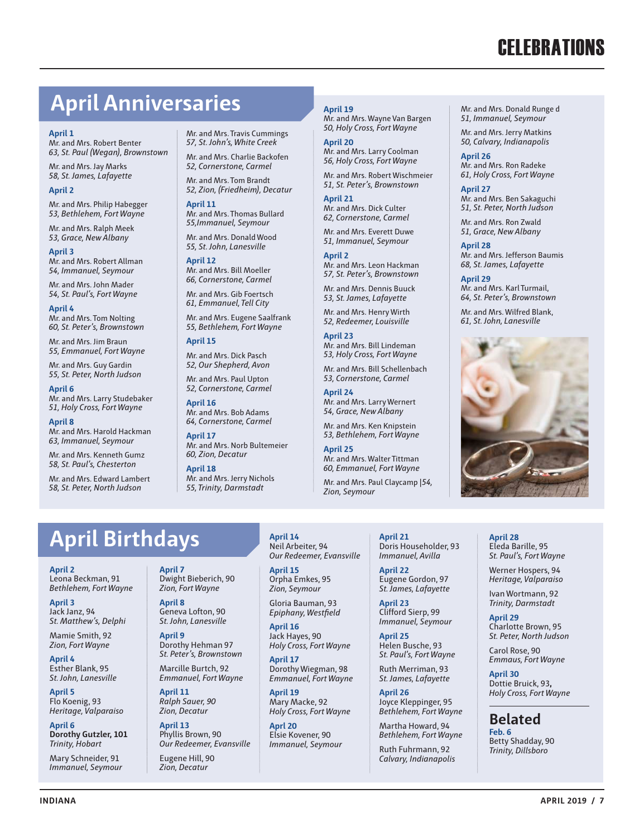# **April Anniversaries**

#### **April 1**

Mr. and Mrs. Robert Benter *63, St. Paul (Wegan), Brownstown*

Mr. and Mrs. Jay Marks *58, St. James, Lafayette*

#### **April 2**

Mr. and Mrs. Philip Habegger *53, Bethlehem, Fort Wayne*

Mr. and Mrs. Ralph Meek *53, Grace, New Albany*

**April 3** Mr. and Mrs. Robert Allman *54, Immanuel, Seymour*

Mr. and Mrs. John Mader *54, St. Paul's, Fort Wayne*

**April 4** Mr. and Mrs. Tom Nolting *60, St. Peter's, Brownstown*

Mr. and Mrs. Jim Braun *55, Emmanuel, Fort Wayne*

Mr. and Mrs. Guy Gardin *55, St. Peter, North Judson*

**April 6** Mr. and Mrs. Larry Studebaker *51, Holy Cross, Fort Wayne*

**April 8** Mr. and Mrs. Harold Hackman *63, Immanuel, Seymour*

Mr. and Mrs. Kenneth Gumz *58, St. Paul's, Chesterton*

Mr. and Mrs. Edward Lambert *58, St. Peter, North Judson*

Mr. and Mrs. Travis Cummings *57, St. John's, White Creek*

Mr. and Mrs. Charlie Backofen *52, Cornerstone, Carmel*

Mr. and Mrs. Tom Brandt *52, Zion, (Friedheim), Decatur*

**April 11** Mr. and Mrs. Thomas Bullard *55,Immanuel, Seymour*

Mr. and Mrs. Donald Wood *55, St. John, Lanesville*

**April 12** Mr. and Mrs. Bill Moeller *66, Cornerstone, Carmel*

Mr. and Mrs. Gib Foertsch *61, Emmanuel, Tell City*

Mr. and Mrs. Eugene Saalfrank *55, Bethlehem, Fort Wayne*

#### **April 15**

Mr. and Mrs. Dick Pasch *52, Our Shepherd, Avon* 

Mr. and Mrs. Paul Upton *52, Cornerstone, Carmel* **April 16**

Mr. and Mrs. Bob Adams *64, Cornerstone, Carmel*

**April 17** Mr. and Mrs. Norb Bultemeier *60, Zion, Decatur*

**April 18** Mr. and Mrs. Jerry Nichols *55, Trinity, Darmstadt*

**April 19**

Mr. and Mrs. Wayne Van Bargen *50, Holy Cross, Fort Wayne*

**April 20** Mr. and Mrs. Larry Coolman *56, Holy Cross, Fort Wayne*

Mr. and Mrs. Robert Wischmeier *51, St. Peter's, Brownstown*

**April 21** Mr. and Mrs. Dick Culter *62, Cornerstone, Carmel*

Mr. and Mrs. Everett Duwe *51, Immanuel, Seymour*

**April 2** Mr. and Mrs. Leon Hackman *57, St. Peter's, Brownstown*

Mr. and Mrs. Dennis Buuck *53, St. James, Lafayette*

Mr. and Mrs. Henry Wirth *52, Redeemer, Louisville*

**April 23** Mr. and Mrs. Bill Lindeman *53, Holy Cross, Fort Wayne*

Mr. and Mrs. Bill Schellenbach *53, Cornerstone, Carmel*

**April 24** Mr. and Mrs. Larry Wernert *54, Grace, New Albany*

Mr. and Mrs. Ken Knipstein *53, Bethlehem, Fort Wayne*

**April 25** Mr. and Mrs. Walter Tittman *60, Emmanuel, Fort Wayne*

Mr. and Mrs. Paul Claycamp |*54, Zion, Seymour*

> **April 21** Doris Householder, 93

**April 22** Eugene Gordon, 97 *St. James, Lafayette*

**April 23** Clifford Sierp, 99

**April 25** Helen Busche, 93

Ruth Merriman, 93

**April 26** Joyce Kleppinger, 95

Martha Howard, 94

Ruth Fuhrmann, 92 *Calvary, Indianapolis* Mr. and Mrs. Donald Runge d *51, Immanuel, Seymour*

Mr. and Mrs. Jerry Matkins *50, Calvary, Indianapolis*

**April 26** Mr. and Mrs. Ron Radeke *61, Holy Cross, Fort Wayne*

**April 27** Mr. and Mrs. Ben Sakaguchi *51, St. Peter, North Judson*

Mr. and Mrs. Ron Zwald *51, Grace, New Albany*

**April 28** Mr. and Mrs. Jefferson Baumis *68, St. James, Lafayette*

**April 29** Mr. and Mrs. Karl Turmail, *64, St. Peter's, Brownstown*

Mr. and Mrs. Wilfred Blank, *61, St. John, Lanesville*



# **April Birthdays**

**April 2** Leona Beckman, 91 *Bethlehem, Fort Wayne*

**April 3** Jack Janz, 94 *St. Matthew's, Delphi*

Mamie Smith, 92 *Zion, Fort Wayne*

**April 4** Esther Blank, 95 *St. John, Lanesville*

**April 5** Flo Koenig, 93 *Heritage, Valparaiso*

**April 6 Dorothy Gutzler, 101**  *Trinity, Hobart*

Mary Schneider, 91 *Immanuel, Seymour* **April 7** Dwight Bieberich, 90 *Zion, Fort Wayne*

**April 8** Geneva Lofton, 90 *St. John, Lanesville*

**April 9** Dorothy Hehman 97 *St. Peter's, Brownstown*

Marcille Burtch, 92 *Emmanuel, Fort Wayne*

**April 11** *Ralph Sauer, 90 Zion, Decatur*

**April 13** Phyllis Brown, 90 *Our Redeemer, Evansville*

Eugene Hill, 90 *Zion, Decatur*

**April 14** Neil Arbeiter, 94 *Our Redeemer, Evansville*

**April 15** Orpha Emkes, 95 *Zion, Seymour*

Gloria Bauman, 93 *Epiphany, Westfield*

**April 16** Jack Hayes, 90 *Holy Cross, Fort Wayne*

**April 17** Dorothy Wiegman, 98 *Emmanuel, Fort Wayne*

**April 19** Mary Macke, 92 *Holy Cross, Fort Wayne*

**Aprl 20** Elsie Kovener, 90 *Immanuel, Seymour*

**INDIANA APRIL 2019 / 7**

*Immanuel, Avilla*

*Immanuel, Seymour*

*St. Paul's, Fort Wayne*

*St. James, Lafayette*

*Bethlehem, Fort Wayne*

*Bethlehem, Fort Wayne*

**April 28** Eleda Barille, 95 *St. Paul's, Fort Wayne*

Werner Hospers, 94 *Heritage, Valparaiso*

Ivan Wortmann, 92 *Trinity, Darmstadt*

**April 29** Charlotte Brown, 95 *St. Peter, North Judson*

Carol Rose, 90 *Emmaus, Fort Wayne*

**April 30** Dottie Bruick, 93**,**  *Holy Cross, Fort Wayne*

**Belated Feb. 6** Betty Shadday, 90

*Trinity, Dillsboro*